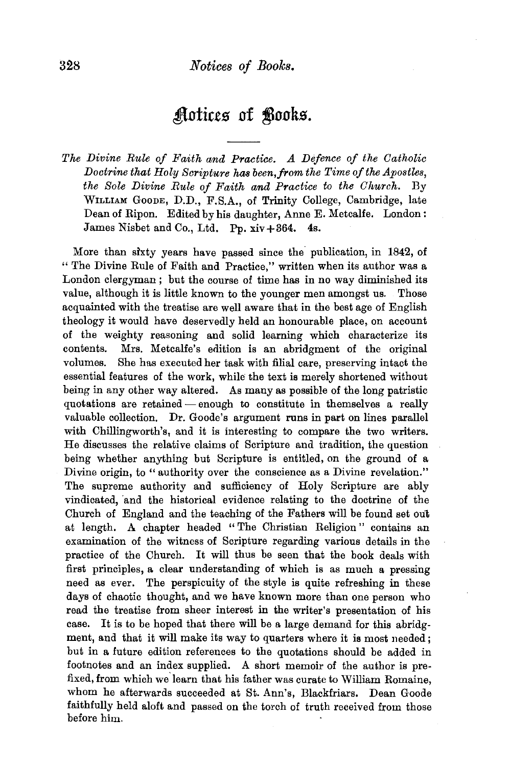## Aotices of **Books**.

The Divine Rule of Faith and Practice. A Defence of the Catholic *Doctrine that Holy Scripture has been,from the Time of the Apostles, the Sole Divine Rule of Faith and Practice to the Church.* By WILLIAM GooDE, D.D., F.S.A., of Trinity College, Cambridge, late Dean of Ripon. Edited by his daughter, Anne E. Metcalfe. London: James Nisbet and Co., Ltd. Pp.  $xi + 364$ . 4s.

More than sixty years have passed since the publication, in 1842, of "The Divine Rule of Faith and Practice," written when its author was a London clergyman ; but the course of time has in no way diminished its value, although it is little known to the younger men amongst us. Those acquainted with the treatise are well aware that in the best age of English theology it would have deservedly held an honourable place, on account of the weighty reasoning and solid learning which characterize its contents. Mrs. Metcalfe's edition is an abridgment of the original volumes. She has executed her task with filial care, preserving intact the essential features of the work, while the text is merely shortened without being in any other way altered. As many as possible of the long patristic quotations are retained- enough to constitute in themselves a really valuable collection. Dr. Goode's argument runs in part on lines parallel with Chillingworth's, and it is interesting to compare the two writers. He discusses the relative claims of Scripture and tradition, the question being whether anything but Scripture is entitled, on the ground of a Divine origin, to "authority over the conscience as a Divine revelation." The supreme authority and sufficiency of Holy Scripture are ably vindicated, and the historical evidence relating to the doctrine of the Church of England and the teaching of the Fathers will be found set oul; at length. A chapter headed " The Christian Religion" contains an examination of the witness of Scripture regarding various details in the practice of the Church. It will thus be seen that the book deals with first principles, a clear understanding of which is as much a pressing need as ever. The perspicuity of the style is quite refreshing in these days of chaotic thought, and we have known more than one person who read the treatise from sheer interest in the writer's presentation of his case. It is to be hoped that there will be a large demand for this abridgment, and that it will make its way to quarters where it is most needed; but in a future edition references to the quotations should be added in footnotes and an index supplied. A short memoir of the author is prefixed, from which we' learn that his father was curate to William Romaine, whom he afterwards succeeded at St. Ann's, Blackfriars. Dean Goode faithfully held aloft and passed on the torch of truth received from those before him.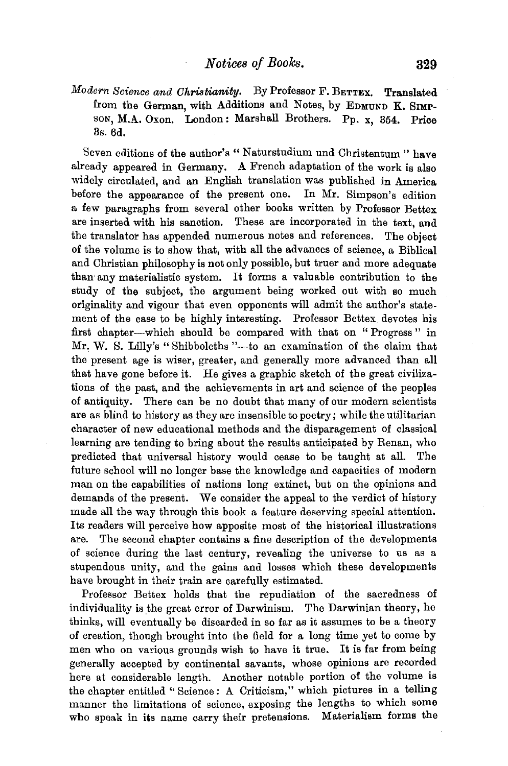*Modern Science and Christianity.* By Professor F. BETTEX. Translated from the German, with Additions and Notes, by EDMUND K. SIMPsoN, M.A. Oxon. London: Marshall Brothers. Pp. x, 354. Price 3s. 6d.

Seven editions of the author's "Naturstudium und Christentum" have already appeared in Germany. A French adaptation of the work is also widely circulated, and an Engllsh translation was published in America before the appearance of the present one. In Mr. Simpson's edition a few paragraphs from several other books written by Professor Bettex are inserted with his sanction. These are incorporated in the text, and the translator has appended numerous notes and references. The object of the volume is to show that, with all the advances of science, a Biblical and Christian philosophy is not only possible, but truer and more adequate than· any materialistic system. It forms a valuable contribution to the study of the subject, the argument being worked out with so much originality and vigour that even opponents will admit the author's statement of the case to be highly interesting. Professor Bettex devotes his first chapter-which should be compared with that on " Progress " in Mr. W. S. Lilly's "Shibboleths "--- to an examination of the claim that the present age is wiser, greater, and generally more advanced than all that have gone before it. He gives a graphic sketch of the great civilizations of the past, and the achievements in art and science of the peoples of antiquity. There can be no doubt that many of our modern scientists are as blind to history as they are insensible to poetry; w bile the utilitarian character of new educational methods and the disparagement of classical learning are tending to bring about the results anticipated by Renan, who predicted that universal history would cease to be taught at all. The future school will no longer base the knowledge and capacities of modern man on the capabilities of nations long extinct, but on the opinions and demands of the present. We consider the appeal to the verdict of history made all the way through this book a feature deserving special attention. Its readers will perceive how apposite most of the historical illustrations are. The second chapter contains a fine description of the developments of science during the last century, revealing the universe to us as a stupendous unity, and the gains and losses which these developments have brought in their train are carefully estimated.

Professor Bettex holds that the repudiation of the sacredness of individuality is the great error of Darwinism. The Darwinian theory, he thinks, will eventually be discarded in so far as it assumes to be a theory of creation, though brought into the field for a long time yet to come by men who on various grounds wish to have it true. It is far from being generally accepted by continental savants, whose opinions are recorded here at considerable length. Another notable portion of the volume is the chapter entitled " Science : A Criticism," which pictures in a telling manner the limitations of science, exposing the lengths to which some who speak in its name carry their pretensions. Materialism forms the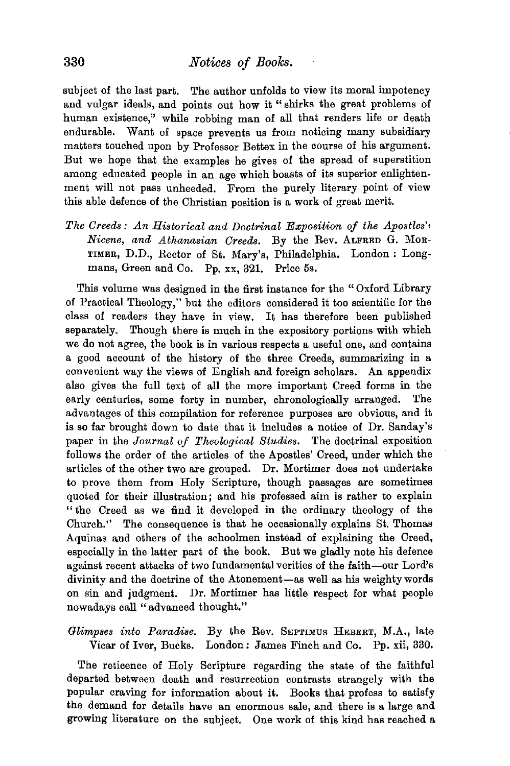subject of the last part. The author unfolds to view its moral impotency and vulgar ideals, and points out how it " shirks the great problems of human existence," while robbing man of all that renders life or death endurable. Want of space prevents us from noticing many subsidiary matters touched upon by Professor Bettex in the course of his argument. But we hope that the examples he gives of the spread of superstition among educated people in an age which boasts of its superior enlightenment will not pass unheeded. From the purely literary point of view this able defence of the Christian position is a work of great merit.

*The Creeds: An Historical and Doctrinal Exposition of the Apostles'• Nioene, and Athanasian Creeds.* By the Rev. ALFRED G. MoR-TIMER, D.D., Rector of St. Mary's, Philadelphia. London : Longmans, Green and Co. Pp. xx, 321. Price 5s.

This volume was designed in the first instance for the "Oxford Library of Practical Theology," but the editors considered it too scientific for the class of readers they have in view. It has therefore been published separately. Though there is much in the expository portions with which we do not agree, the book is in various respects a useful one, and contains a good account of the history of the three Creeds, summarizing in a convenient way the views of English and foreign scholars. An appendix also gives the full text of all the more important Creed forms in the early centuries, some forty in number, chronologically arranged. The advantages of this compilation for reference purposes are obvious, and it is so far brought down to date that it includes a notice of Dr. Sanday's paper in the *Journal of Theological Studies.* The doctrinal exposition follows the order of the articles of the Apostles' Creed, under which the articles of the other two are grouped. Dr. Mortimer does not undertake to prove them from Holy Scripture, though passages are sometimes quoted for their illustration; and his professed aim is rather to explain " the Creed as we find it developed in the ordinary theology of the Church." The consequence is that he occasionally explains St. Thomas Aquinas and others of the schoolmen instead of explaining the Creed, especially in the latter part of the book. But we gladly note his defence against recent attacks of two fundamental verities of the faith-our Lord's divinity and the doctrine of the Atonement-as well as his weighty words on sin and judgment. Dr. Mortimer has little respect for what people nowadays call "advanced thought."

*Glimpses into Paradise.* By the Rev. SEPTIMUS HEBERT, M.A., late Vicar of Iver, Bucks. London : James Finch and Co. Pp. xii, 330.

The reticence of Holy Scripture regarding the state of the faithful departed between death and resurrection contrasts strangely with the popular craving for information about it. Books that profess to satisfy the demand for details have an enormous sale, and there is a large and growing literature on the subject. One work of this kind has reached a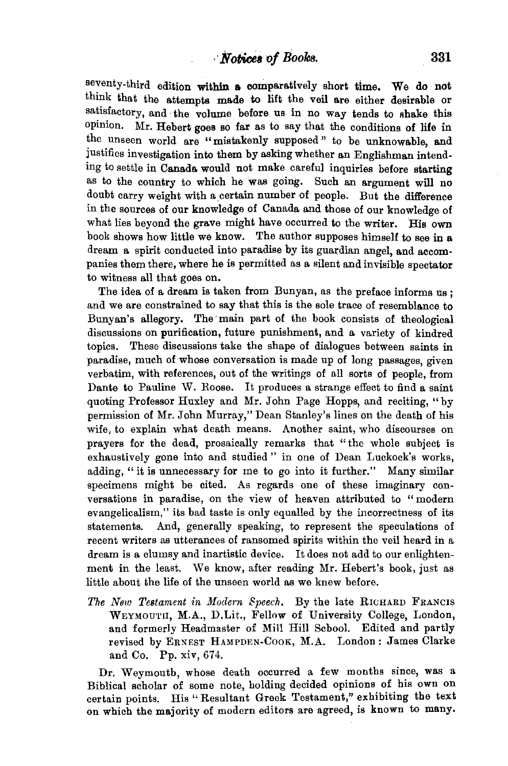seventy-third edition within a comparatively short time. We do not think that the attempts made to lift the veil are either desirable or satisfactory, and the volume before us in no way tends to shake this opinion. Mr. Hebert goes so far as to say that the conditions of life in the unseen world are "mistakenly supposed" to be unknowable, and justifies investigation into them by asking whether an Englishman intending to settle in Canada would not make careful inquiries before starting as to the country to which he was going. Such an argument will no doubt carry weight with a certain number of people. But the difference in the sources of our knowledge of Canada and those of our knowledge of what lies beyond the grave might have occurred to the writer. His own book shows how little we know. The author supposes himself to see in a dream a spirit conducted into paradise by its guardian angel, and accompanies them there, where he is permitted as a silent and invisible spectator to witness all that goes on.

The idea of a dream is taken from Bunyan, as the preface informs us ; and we are constrained to say that this is the sole trace of resemblance to Bunyan's allegory. The· main part of the book consists of theological discussions on purification, future punishment, and a variety of kindred topics. These discussions take the shape of dialogues between saints in paradise, much of whose conversation is made up of long passages, given verbatim, with references, out of the writings of all sorts of people, from Dante to Pauline W. Roose. It produces a strange effect to find a saint quoting Professor Huxley and Mr. John Page Hopps, and reciting, "by permission of Mr. John Murray," Dean Stanley's lines on the death of his wife, to explain what death means. Another saint, who discourses on prayers for the dead, prosaically remarks that "the whole subject is exhaustively gone into and studied" in one of Dean Luckock's works, adding, "it is unnecessary for me to go into it further." Many similar specimens might be cited. As regards one of these imaginary conversations in paradise, on the view of heaven attributed to "modern evangelicalism," its bad taste is only equalled by the incorrectness of its statements. And, generally speaking, to represent the speculations of recent writers as utterances of ransomed spirits within the veil heard in a dream is a clumsy and inartistic device. It does not add to our enlightenment in the least. We know, after reading Mr. Hebert's book, just as little about the life of the unseen world as we knew before.

*The New Testament in Modern Speech.* By the late RICHARD FRANCIS WEYMOUTH, M.A., D.Lit., Fellow of University College, London, and formerly Headmaster of Mill Hill School. Edited and partly revised by ERNEST HAMPDEN-COOK, M.A. London: James Clarke and Co. Pp. xiv, 674.

Dr. Weymouth, whose death occurred a few months since, was a Biblical scholar of some note, holding decided opinions of his own on certain points. His "Resultant Greek Testament," exhibiting the text on which the majority of modern editors are agreed, is known to many.